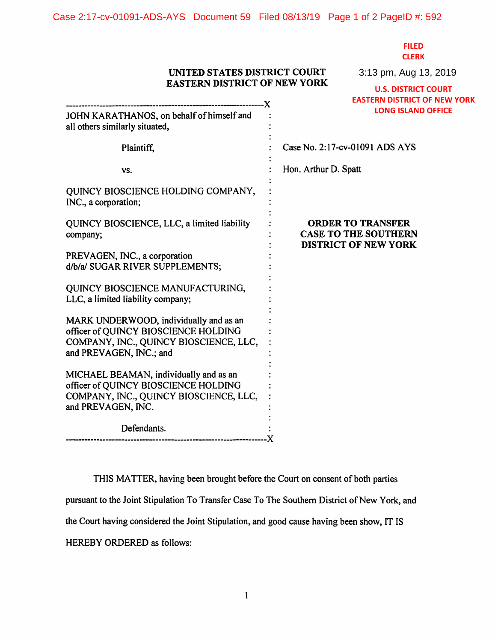**FILED CLERK**

3:13 pm, Aug 13, 2019

## **UNITED STATES DISTRICT COURT EASTERN DISTRICT OF NEW YORK**

| <b>EASTERN DISTRICT OF NEW TORK</b>                                                                                                                 | <b>U.S. DISTRICT COURT</b>                                                             |
|-----------------------------------------------------------------------------------------------------------------------------------------------------|----------------------------------------------------------------------------------------|
|                                                                                                                                                     | <b>EASTERN DISTRICT OF NEW YORK</b>                                                    |
| JOHN KARATHANOS, on behalf of himself and<br>all others similarly situated,                                                                         | <b>LONG ISLAND OFFICE</b>                                                              |
| Plaintiff,                                                                                                                                          | Case No. 2:17-cv-01091 ADS AYS                                                         |
| VS.                                                                                                                                                 | Hon. Arthur D. Spatt                                                                   |
| QUINCY BIOSCIENCE HOLDING COMPANY,<br>INC., a corporation;                                                                                          |                                                                                        |
| QUINCY BIOSCIENCE, LLC, a limited liability<br>company;                                                                                             | <b>ORDER TO TRANSFER</b><br><b>CASE TO THE SOUTHERN</b><br><b>DISTRICT OF NEW YORK</b> |
| PREVAGEN, INC., a corporation<br>d/b/a/ SUGAR RIVER SUPPLEMENTS;                                                                                    |                                                                                        |
| QUINCY BIOSCIENCE MANUFACTURING,<br>LLC, a limited liability company;                                                                               |                                                                                        |
| MARK UNDERWOOD, individually and as an<br>officer of QUINCY BIOSCIENCE HOLDING<br>COMPANY, INC., QUINCY BIOSCIENCE, LLC,<br>and PREVAGEN, INC.; and |                                                                                        |
| MICHAEL BEAMAN, individually and as an<br>officer of QUINCY BIOSCIENCE HOLDING<br>COMPANY, INC., QUINCY BIOSCIENCE, LLC,<br>and PREVAGEN, INC.      |                                                                                        |
| Defendants.                                                                                                                                         |                                                                                        |
|                                                                                                                                                     |                                                                                        |

THIS MATTER, having been brought before the Court on consent of both parties pursuant to the Joint Stipulation To Transfer Case To The Southern District of New York, and the Court having considered the Joint Stipulation, and good cause having been show, IT IS HEREBY ORDERED as follows: